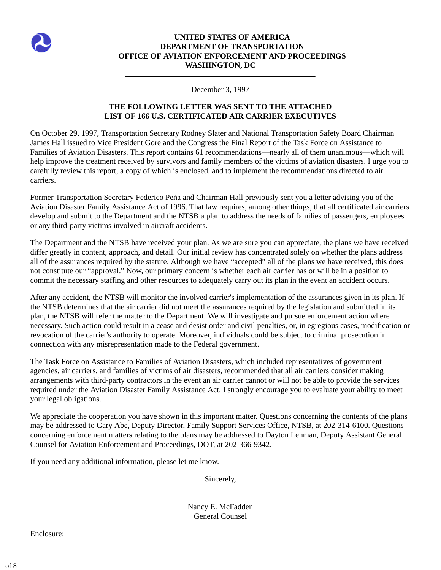

## **UNITED STATES OF AMERICA DEPARTMENT OF TRANSPORTATION OFFICE OF AVIATION ENFORCEMENT AND PROCEEDINGS WASHINGTON, DC**

## December 3, 1997

## **THE FOLLOWING LETTER WAS SENT TO THE ATTACHED LIST OF 166 U.S. CERTIFICATED AIR CARRIER EXECUTIVES**

On October 29, 1997, Transportation Secretary Rodney Slater and National Transportation Safety Board Chairman James Hall issued to Vice President Gore and the Congress the Final Report of the Task Force on Assistance to Families of Aviation Disasters. This report contains 61 recommendations—nearly all of them unanimous—which will help improve the treatment received by survivors and family members of the victims of aviation disasters. I urge you to carefully review this report, a copy of which is enclosed, and to implement the recommendations directed to air carriers.

Former Transportation Secretary Federico Peña and Chairman Hall previously sent you a letter advising you of the Aviation Disaster Family Assistance Act of 1996. That law requires, among other things, that all certificated air carriers develop and submit to the Department and the NTSB a plan to address the needs of families of passengers, employees or any third-party victims involved in aircraft accidents.

The Department and the NTSB have received your plan. As we are sure you can appreciate, the plans we have received differ greatly in content, approach, and detail. Our initial review has concentrated solely on whether the plans address all of the assurances required by the statute. Although we have "accepted" all of the plans we have received, this does not constitute our "approval." Now, our primary concern is whether each air carrier has or will be in a position to commit the necessary staffing and other resources to adequately carry out its plan in the event an accident occurs.

After any accident, the NTSB will monitor the involved carrier's implementation of the assurances given in its plan. If the NTSB determines that the air carrier did not meet the assurances required by the legislation and submitted in its plan, the NTSB will refer the matter to the Department. We will investigate and pursue enforcement action where necessary. Such action could result in a cease and desist order and civil penalties, or, in egregious cases, modification or revocation of the carrier's authority to operate. Moreover, individuals could be subject to criminal prosecution in connection with any misrepresentation made to the Federal government.

The Task Force on Assistance to Families of Aviation Disasters, which included representatives of government agencies, air carriers, and families of victims of air disasters, recommended that all air carriers consider making arrangements with third-party contractors in the event an air carrier cannot or will not be able to provide the services required under the Aviation Disaster Family Assistance Act. I strongly encourage you to evaluate your ability to meet your legal obligations.

We appreciate the cooperation you have shown in this important matter. Questions concerning the contents of the plans may be addressed to Gary Abe, Deputy Director, Family Support Services Office, NTSB, at 202-314-6100. Questions concerning enforcement matters relating to the plans may be addressed to Dayton Lehman, Deputy Assistant General Counsel for Aviation Enforcement and Proceedings, DOT, at 202-366-9342.

If you need any additional information, please let me know.

Sincerely,

Nancy E. McFadden General Counsel

Enclosure: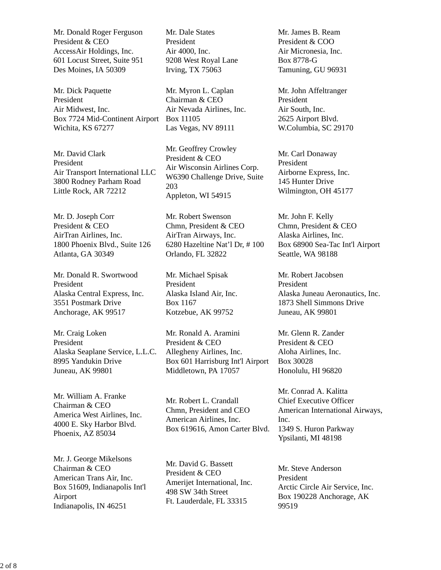Mr. Donald Roger Ferguson President & CEO AccessAir Holdings, Inc. 601 Locust Street, Suite 951 Des Moines, IA 50309

Mr. Dick Paquette President Air Midwest, Inc. Box 7724 Mid-Continent Airport Box 11105 Wichita, KS 67277

Mr. David Clark President Air Transport International LLC 3800 Rodney Parham Road Little Rock, AR 72212

Mr. D. Joseph Corr President & CEO AirTran Airlines, Inc. 1800 Phoenix Blvd., Suite 126 Atlanta, GA 30349

Mr. Donald R. Swortwood President Alaska Central Express, Inc. 3551 Postmark Drive Anchorage, AK 99517

Mr. Craig Loken President Alaska Seaplane Service, L.L.C. 8995 Yandukin Drive Juneau, AK 99801

Mr. William A. Franke Chairman & CEO America West Airlines, Inc. 4000 E. Sky Harbor Blvd. Phoenix, AZ 85034

Mr. J. George Mikelsons Chairman & CEO American Trans Air, Inc. Box 51609, Indianapolis Int'l Airport Indianapolis, IN 46251

Mr. Dale States President Air 4000, Inc. 9208 West Royal Lane Irving, TX 75063

Mr. Myron L. Caplan Chairman & CEO Air Nevada Airlines, Inc. Las Vegas, NV 89111

Mr. Geoffrey Crowley President & CEO Air Wisconsin Airlines Corp. W6390 Challenge Drive, Suite 203 Appleton, WI 54915

Mr. Robert Swenson Chmn, President & CEO AirTran Airways, Inc. 6280 Hazeltine Nat'l Dr, # 100 Orlando, FL 32822

Mr. Michael Spisak President Alaska Island Air, Inc. Box 1167 Kotzebue, AK 99752

Mr. Ronald A. Aramini President & CEO Allegheny Airlines, Inc. Box 601 Harrisburg Int'l Airport Middletown, PA 17057

Mr. Robert L. Crandall Chmn, President and CEO American Airlines, Inc. Box 619616, Amon Carter Blvd.

Mr. David G. Bassett President & CEO Amerijet International, Inc. 498 SW 34th Street Ft. Lauderdale, FL 33315

Mr. James B. Ream President & COO Air Micronesia, Inc. Box 8778-G Tamuning, GU 96931

Mr. John Affeltranger President Air South, Inc. 2625 Airport Blvd. W.Columbia, SC 29170

Mr. Carl Donaway President Airborne Express, Inc. 145 Hunter Drive Wilmington, OH 45177

Mr. John F. Kelly Chmn, President & CEO Alaska Airlines, Inc. Box 68900 Sea-Tac Int'l Airport Seattle, WA 98188

Mr. Robert Jacobsen President Alaska Juneau Aeronautics, Inc. 1873 Shell Simmons Drive Juneau, AK 99801

Mr. Glenn R. Zander President & CEO Aloha Airlines, Inc. Box 30028 Honolulu, HI 96820

Mr. Conrad A. Kalitta Chief Executive Officer American International Airways, Inc. 1349 S. Huron Parkway Ypsilanti, MI 48198

Mr. Steve Anderson President Arctic Circle Air Service, Inc. Box 190228 Anchorage, AK 99519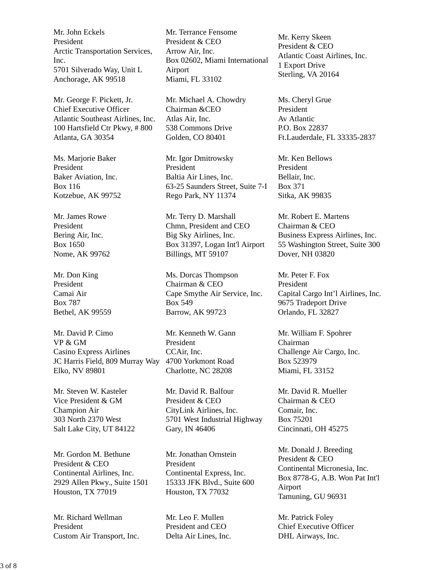Mr. John Eckels President Arctic Transportation Services, Inc. 5701 Silverado Way, Unit L Anchorage, AK 99518

Mr. George F. Pickett, Jr. Chief Executive Officer Atlantic Southeast Airlines, Inc. 100 Hartsfield Ctr Pkwy, # 800 Atlanta, GA 30354

Ms. Marjorie Baker President Baker Aviation, Inc. Box 116 Kotzebue, AK 99752

Mr. James Rowe President Bering Air, Inc. Box 1650 Nome, AK 99762

Mr. Don King President Camai Air Box 787 Bethel, AK 99559

Mr. David P. Cimo VP & GM Casino Express Airlines JC Harris Field, 809 Murray Way 4700 Yorkmont Road Elko, NV 89801

Mr. Steven W. Kasteler Vice President & GM Champion Air 303 North 2370 West Salt Lake City, UT 84122

Mr. Gordon M. Bethune President & CEO Continental Airlines, Inc. 2929 Allen Pkwy., Suite 1501 Houston, TX 77019

Mr. Richard Wellman President Custom Air Transport, Inc.

Mr. Terrance Fensome President & CEO Arrow Air, Inc. Box 02602, Miami International Airport Miami, FL 33102

Mr. Michael A. Chowdry Chairman &CEO Atlas Air, Inc. 538 Commons Drive Golden, CO 80401

Mr. Igor Dmitrowsky President Baltia Air Lines, Inc. 63-25 Saunders Street, Suite 7-I Rego Park, NY 11374

Mr. Terry D. Marshall Chmn, President and CEO Big Sky Airlines, Inc. Box 31397, Logan Int'l Airport Billings, MT 59107

Ms. Dorcas Thompson Chairman & CEO Cape Smythe Air Service, Inc. Box 549 Barrow, AK 99723

Mr. Kenneth W. Gann President CCAir, Inc. Charlotte, NC 28208

Mr. David R. Balfour President & CEO CityLink Airlines, Inc. 5701 West Industrial Highway Gary, IN 46406

Mr. Jonathan Ornstein President Continental Express, Inc. 15333 JFK Blvd., Suite 600 Houston, TX 77032

Mr. Leo F. Mullen President and CEO Delta Air Lines, Inc. Mr. Kerry Skeen President & CEO Atlantic Coast Airlines, Inc. 1 Export Drive Sterling, VA 20164

Ms. Cheryl Grue President Av Atlantic P.O. Box 22837 Ft.Lauderdale, FL 33335-2837

Mr. Ken Bellows President Bellair, Inc. Box 371 Sitka, AK 99835

Mr. Robert E. Martens Chairman & CEO Business Express Airlines, Inc. 55 Washington Street, Suite 300 Dover, NH 03820

Mr. Peter F. Fox President Capital Cargo Int'l Airlines, Inc. 9675 Tradeport Drive Orlando, FL 32827

Mr. William F. Spohrer Chairman Challenge Air Cargo, Inc. Box 523979 Miami, FL 33152

Mr. David R. Mueller Chairman & CEO Comair, Inc. Box 75201 Cincinnati, OH 45275

Mr. Donald J. Breeding President & CEO Continental Micronesia, Inc. Box 8778-G, A.B. Won Pat Int'l Airport Tamuning, GU 96931

Mr. Patrick Foley Chief Executive Officer DHL Airways, Inc.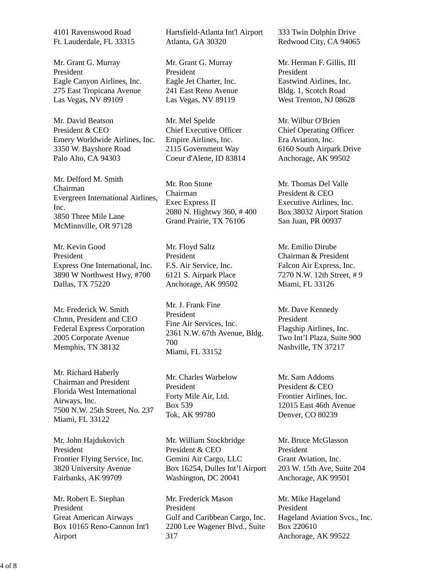4101 Ravenswood Road Ft. Lauderdale, FL 33315

Mr. Grant G. Murray President Eagle Canyon Airlines, Inc. 275 East Tropicana Avenue Las Vegas, NV 89109

Mr. David Beatson President & CEO Emery Worldwide Airlines, Inc. 3350 W. Bayshore Road Palo Alto, CA 94303

Mr. Delford M. Smith Chairman Evergreen International Airlines, Inc. 3850 Three Mile Lane McMinnville, OR 97128

Mr. Kevin Good President Express One International, Inc. 3890 W Northwest Hwy, #700 Dallas, TX 75220

Mr. Frederick W. Smith Chmn, President and CEO Federal Express Corporation 2005 Corporate Avenue Memphis, TN 38132

Mr. Richard Haberly Chairman and President Florida West International Airways, Inc. 7500 N.W. 25th Street, No. 237 Miami, FL 33122

Mr. John Hajdukovich President Frontier Flying Service, Inc. 3820 University Avenue Fairbanks, AK 99709

Mr. Robert E. Stephan President Great American Airways Box 10165 Reno-Cannon Int'l Airport

Hartsfield-Atlanta Int'l Airport Atlanta, GA 30320

Mr. Grant G. Murray President Eagle Jet Charter, Inc. 241 East Reno Avenue Las Vegas, NV 89119

Mr. Mel Spelde Chief Executive Officer Empire Airlines, Inc. 2115 Government Way Coeur d'Alene, ID 83814

Mr. Ron Stone Chairman Exec Express II 2080 N. Hightwy 360, # 400 Grand Prairie, TX 76106

Mr. Floyd Saltz President F.S. Air Service, Inc. 6121 S. Airpark Place Anchorage, AK 99502

Mr. J. Frank Fine President Fine Air Services, Inc. 2361 N.W. 67th Avenue, Bldg. 700 Miami, FL 33152

Mr. Charles Warbelow President Forty Mile Air, Ltd. Box 539 Tok, AK 99780

Mr. William Stockbridge President & CEO Gemini Air Cargo, LLC Box 16254, Dulles Int'l Airport Washington, DC 20041

Mr. Frederick Mason President Gulf and Caribbean Cargo, Inc. 2200 Lee Wagener Blvd., Suite 317

333 Twin Dolphin Drive Redwood City, CA 94065

Mr. Herman F. Gillis, III President Eastwind Airlines, Inc. Bldg. 1, Scotch Road West Trenton, NJ 08628

Mr. Wilbur O'Brien Chief Operating Officer Era Aviation, Inc. 6160 South Airpark Drive Anchorage, AK 99502

Mr. Thomas Del Valle President & CEO Executive Airlines, Inc. Box 38032 Airport Station San Juan, PR 00937

Mr. Emilio Dirube Chairman & President Falcon Air Express, Inc. 7270 N.W. 12th Street, # 9 Miami, FL 33126

Mr. Dave Kennedy President Flagship Airlines, Inc. Two Int'l Plaza, Suite 900 Nashville, TN 37217

Mr. Sam Addoms President & CEO Frontier Airlines, Inc. 12015 East 46th Avenue Denver, CO 80239

Mr. Bruce McGlasson President Grant Aviation, Inc. 203 W. 15th Ave, Suite 204 Anchorage, AK 99501

Mr. Mike Hageland President Hageland Aviation Svcs., Inc. Box 220610 Anchorage, AK 99522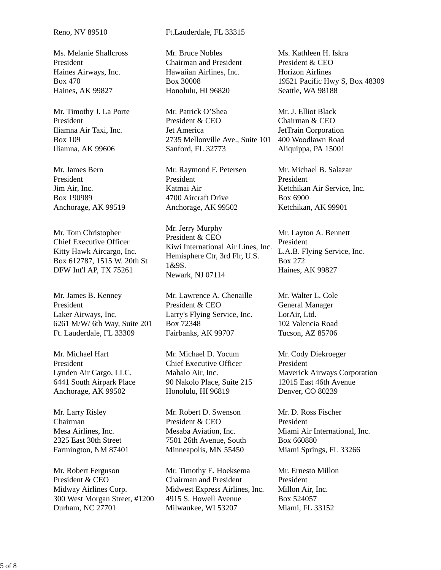Ms. Melanie Shallcross President Haines Airways, Inc. Box 470 Haines, AK 99827

Mr. Timothy J. La Porte President Iliamna Air Taxi, Inc. Box 109 Iliamna, AK 99606

Mr. James Bern President Jim Air, Inc. Box 190989 Anchorage, AK 99519

Mr. Tom Christopher Chief Executive Officer Kitty Hawk Aircargo, Inc. Box 612787, 1515 W. 20th St DFW Int'l AP, TX 75261

Mr. James B. Kenney President Laker Airways, Inc. 6261 M/W/ 6th Way, Suite 201 Ft. Lauderdale, FL 33309

Mr. Michael Hart President Lynden Air Cargo, LLC. 6441 South Airpark Place Anchorage, AK 99502

Mr. Larry Risley Chairman Mesa Airlines, Inc. 2325 East 30th Street Farmington, NM 87401

Mr. Robert Ferguson President & CEO Midway Airlines Corp. 300 West Morgan Street, #1200 Durham, NC 27701

Reno, NV 89510 Ft.Lauderdale, FL 33315

Mr. Bruce Nobles Chairman and President Hawaiian Airlines, Inc. Box 30008 Honolulu, HI 96820

Mr. Patrick O'Shea President & CEO Jet America 2735 Mellonville Ave., Suite 101 Sanford, FL 32773

Mr. Raymond F. Petersen President Katmai Air 4700 Aircraft Drive Anchorage, AK 99502

Mr. Jerry Murphy President & CEO Kiwi International Air Lines, Inc. Hemisphere Ctr, 3rd Flr, U.S. 1&9S. Newark, NJ 07114

Mr. Lawrence A. Chenaille President & CEO Larry's Flying Service, Inc. Box 72348 Fairbanks, AK 99707

Mr. Michael D. Yocum Chief Executive Officer Mahalo Air, Inc. 90 Nakolo Place, Suite 215 Honolulu, HI 96819

Mr. Robert D. Swenson President & CEO Mesaba Aviation, Inc. 7501 26th Avenue, South Minneapolis, MN 55450

Mr. Timothy E. Hoeksema Chairman and President Midwest Express Airlines, Inc. 4915 S. Howell Avenue Milwaukee, WI 53207

Ms. Kathleen H. Iskra President & CEO Horizon Airlines 19521 Pacific Hwy S, Box 48309 Seattle, WA 98188

Mr. J. Elliot Black Chairman & CEO JetTrain Corporation 400 Woodlawn Road Aliquippa, PA 15001

Mr. Michael B. Salazar President Ketchikan Air Service, Inc. Box 6900 Ketchikan, AK 99901

Mr. Layton A. Bennett President L.A.B. Flying Service, Inc. Box 272 Haines, AK 99827

Mr. Walter L. Cole General Manager LorAir, Ltd. 102 Valencia Road Tucson, AZ 85706

Mr. Cody Diekroeger President Maverick Airways Corporation 12015 East 46th Avenue Denver, CO 80239

Mr. D. Ross Fischer President Miami Air International, Inc. Box 660880 Miami Springs, FL 33266

Mr. Ernesto Millon President Millon Air, Inc. Box 524057 Miami, FL 33152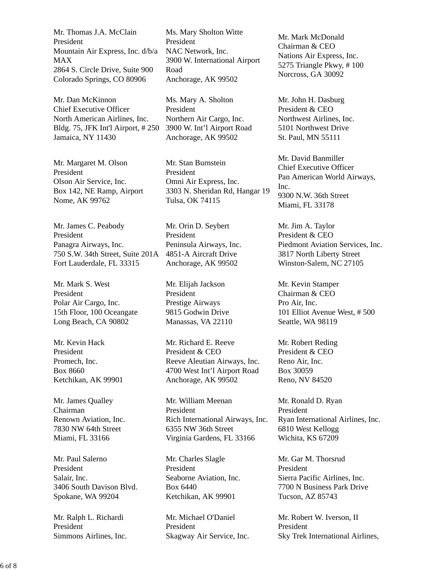Mr. Thomas J.A. McClain President Mountain Air Express, Inc. d/b/a MAX 2864 S. Circle Drive, Suite 900 Colorado Springs, CO 80906

Mr. Dan McKinnon Chief Executive Officer North American Airlines, Inc. Bldg. 75, JFK Int'l Airport, # 250 Jamaica, NY 11430

Mr. Margaret M. Olson President Olson Air Service, Inc. Box 142, NE Ramp, Airport Nome, AK 99762

Mr. James C. Peabody President Panagra Airways, Inc. 750 S.W. 34th Street, Suite 201A 4851-A Aircraft Drive Fort Lauderdale, FL 33315

Mr. Mark S. West President Polar Air Cargo, Inc. 15th Floor, 100 Oceangate Long Beach, CA 90802

Mr. Kevin Hack President Promech, Inc. Box 8660 Ketchikan, AK 99901

Mr. James Qualley Chairman Renown Aviation, Inc. 7830 NW 64th Street Miami, FL 33166

Mr. Paul Salerno President Salair, Inc. 3406 South Davison Blvd. Spokane, WA 99204

Mr. Ralph L. Richardi President Simmons Airlines, Inc.

Ms. Mary Sholton Witte President NAC Network, Inc. 3900 W. International Airport Road Anchorage, AK 99502

Ms. Mary A. Sholton President Northern Air Cargo, Inc. 3900 W. Int'l Airport Road Anchorage, AK 99502

Mr. Stan Burnstein President Omni Air Express, Inc. 3303 N. Sheridan Rd, Hangar 19 Tulsa, OK 74115

Mr. Orin D. Seybert President Peninsula Airways, Inc. Anchorage, AK 99502

Mr. Elijah Jackson President Prestige Airways 9815 Godwin Drive Manassas, VA 22110

Mr. Richard E. Reeve President & CEO Reeve Aleutian Airways, Inc. 4700 West Int'l Airport Road Anchorage, AK 99502

Mr. William Meenan President Rich International Airways, Inc. 6355 NW 36th Street Virginia Gardens, FL 33166

Mr. Charles Slagle President Seaborne Aviation, Inc. Box 6440 Ketchikan, AK 99901

Mr. Michael O'Daniel President Skagway Air Service, Inc. Mr. Mark McDonald Chairman & CEO Nations Air Express, Inc. 5275 Triangle Pkwy, # 100 Norcross, GA 30092

Mr. John H. Dasburg President & CEO Northwest Airlines, Inc. 5101 Northwest Drive St. Paul, MN 55111

Mr. David Banmiller Chief Executive Officer Pan American World Airways, Inc. 9300 N.W. 36th Street Miami, FL 33178

Mr. Jim A. Taylor President & CEO Piedmont Aviation Services, Inc. 3817 North Liberty Street Winston-Salem, NC 27105

Mr. Kevin Stamper Chairman & CEO Pro Air, Inc. 101 Elliot Avenue West, # 500 Seattle, WA 98119

Mr. Robert Reding President & CEO Reno Air, Inc. Box 30059 Reno, NV 84520

Mr. Ronald D. Ryan President Ryan International Airlines, Inc. 6810 West Kellogg Wichita, KS 67209

Mr. Gar M. Thorsrud President Sierra Pacific Airlines, Inc. 7700 N Business Park Drive Tucson, AZ 85743

Mr. Robert W. Iverson, II President Sky Trek International Airlines,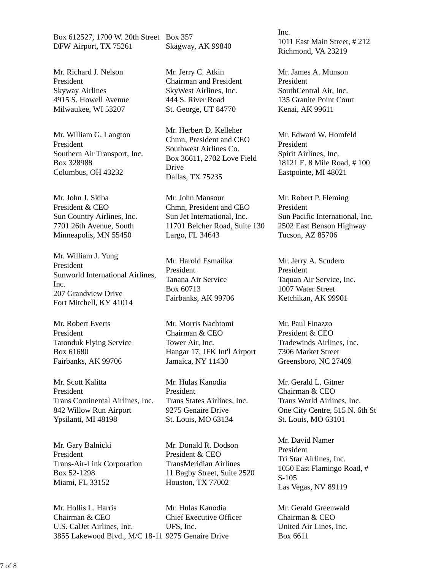Box 612527, 1700 W. 20th Street Box 357 DFW Airport, TX 75261

Mr. Richard J. Nelson President Skyway Airlines 4915 S. Howell Avenue Milwaukee, WI 53207

Mr. William G. Langton President Southern Air Transport, Inc. Box 328988 Columbus, OH 43232

Mr. John J. Skiba President & CEO Sun Country Airlines, Inc. 7701 26th Avenue, South Minneapolis, MN 55450

Mr. William J. Yung President Sunworld International Airlines, Inc. 207 Grandview Drive Fort Mitchell, KY 41014

Mr. Robert Everts President Tatonduk Flying Service Box 61680 Fairbanks, AK 99706

Mr. Scott Kalitta President Trans Continental Airlines, Inc. 842 Willow Run Airport Ypsilanti, MI 48198

Mr. Gary Balnicki President Trans-Air-Link Corporation Box 52-1298 Miami, FL 33152

Mr. Hollis L. Harris Chairman & CEO U.S. CalJet Airlines, Inc. 3855 Lakewood Blvd., M/C 18-11 9275 Genaire Drive Mr. Hulas Kanodia UFS, Inc.

Skagway, AK 99840

Mr. Jerry C. Atkin Chairman and President SkyWest Airlines, Inc. 444 S. River Road St. George, UT 84770

Mr. Herbert D. Kelleher Chmn, President and CEO Southwest Airlines Co. Box 36611, 2702 Love Field Drive Dallas, TX 75235

Mr. John Mansour Chmn, President and CEO Sun Jet International, Inc. 11701 Belcher Road, Suite 130 Largo, FL 34643

Mr. Harold Esmailka President Tanana Air Service Box 60713 Fairbanks, AK 99706

Mr. Morris Nachtomi Chairman & CEO Tower Air, Inc. Hangar 17, JFK Int'l Airport Jamaica, NY 11430

Mr. Hulas Kanodia President Trans States Airlines, Inc. 9275 Genaire Drive St. Louis, MO 63134

Mr. Donald R. Dodson President & CEO TransMeridian Airlines 11 Bagby Street, Suite 2520 Houston, TX 77002

Chief Executive Officer

Inc. 1011 East Main Street, # 212 Richmond, VA 23219

Mr. James A. Munson President SouthCentral Air, Inc. 135 Granite Point Court Kenai, AK 99611

Mr. Edward W. Homfeld President Spirit Airlines, Inc. 18121 E. 8 Mile Road, # 100 Eastpointe, MI 48021

Mr. Robert P. Fleming President Sun Pacific International, Inc. 2502 East Benson Highway Tucson, AZ 85706

Mr. Jerry A. Scudero President Taquan Air Service, Inc. 1007 Water Street Ketchikan, AK 99901

Mr. Paul Finazzo President & CEO Tradewinds Airlines, Inc. 7306 Market Street Greensboro, NC 27409

Mr. Gerald L. Gitner Chairman & CEO Trans World Airlines, Inc. One City Centre, 515 N. 6th St St. Louis, MO 63101

Mr. David Namer President Tri Star Airlines, Inc. 1050 East Flamingo Road, # S-105 Las Vegas, NV 89119

Mr. Gerald Greenwald Chairman & CEO United Air Lines, Inc. Box 6611